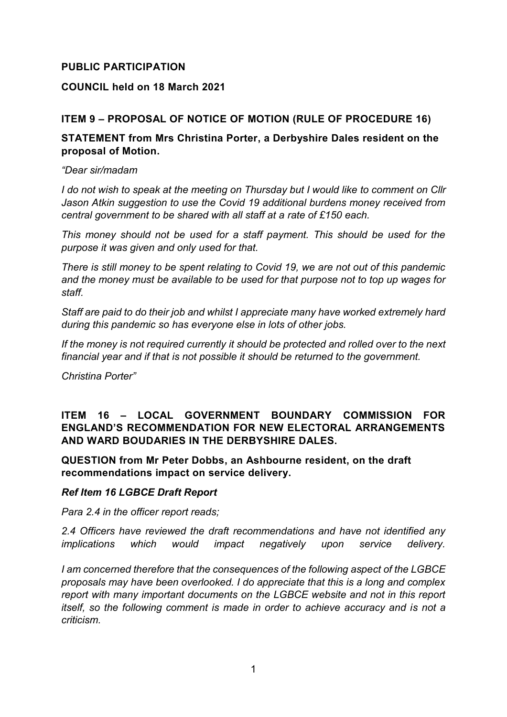# **PUBLIC PARTICIPATION**

## **COUNCIL held on 18 March 2021**

# **ITEM 9 – PROPOSAL OF NOTICE OF MOTION (RULE OF PROCEDURE 16)**

### **STATEMENT from Mrs Christina Porter, a Derbyshire Dales resident on the proposal of Motion.**

*"Dear sir/madam*

*I do not wish to speak at the meeting on Thursday but I would like to comment on Cllr Jason Atkin suggestion to use the Covid 19 additional burdens money received from central government to be shared with all staff at a rate of £150 each.*

*This money should not be used for a staff payment. This should be used for the purpose it was given and only used for that.*

*There is still money to be spent relating to Covid 19, we are not out of this pandemic and the money must be available to be used for that purpose not to top up wages for staff.*

*Staff are paid to do their job and whilst I appreciate many have worked extremely hard during this pandemic so has everyone else in lots of other jobs.*

*If the money is not required currently it should be protected and rolled over to the next financial year and if that is not possible it should be returned to the government.*

*Christina Porter"*

# **ITEM 16 – LOCAL GOVERNMENT BOUNDARY COMMISSION FOR ENGLAND'S RECOMMENDATION FOR NEW ELECTORAL ARRANGEMENTS AND WARD BOUDARIES IN THE DERBYSHIRE DALES.**

**QUESTION from Mr Peter Dobbs, an Ashbourne resident, on the draft recommendations impact on service delivery.**

#### *Ref Item 16 LGBCE Draft Report*

*Para 2.4 in the officer report reads;* 

*2.4 Officers have reviewed the draft recommendations and have not identified any implications which would impact negatively upon service delivery.*

*I am concerned therefore that the consequences of the following aspect of the LGBCE proposals may have been overlooked. I do appreciate that this is a long and complex report with many important documents on the LGBCE website and not in this report itself, so the following comment is made in order to achieve accuracy and is not a criticism.*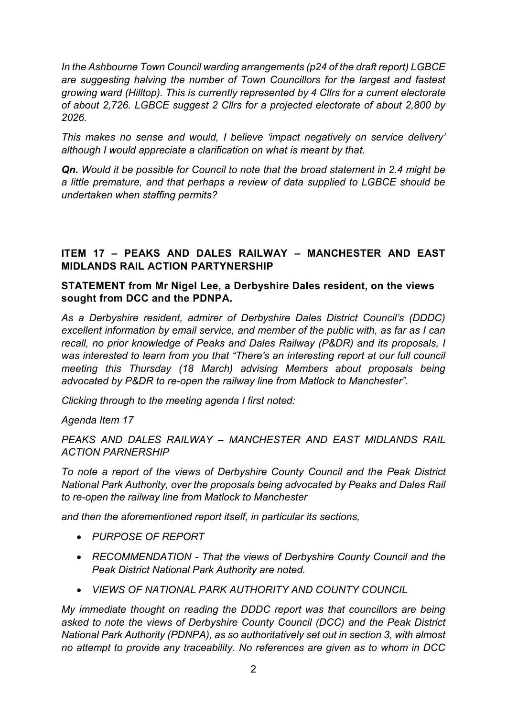*In the Ashbourne Town Council warding arrangements (p24 of the draft report) LGBCE are suggesting halving the number of Town Councillors for the largest and fastest growing ward (Hilltop). This is currently represented by 4 Cllrs for a current electorate of about 2,726. LGBCE suggest 2 Cllrs for a projected electorate of about 2,800 by 2026.*

*This makes no sense and would, I believe 'impact negatively on service delivery' although I would appreciate a clarification on what is meant by that.*

*Qn. Would it be possible for Council to note that the broad statement in 2.4 might be a little premature, and that perhaps a review of data supplied to LGBCE should be undertaken when staffing permits?*

# **ITEM 17 – PEAKS AND DALES RAILWAY – MANCHESTER AND EAST MIDLANDS RAIL ACTION PARTYNERSHIP**

# **STATEMENT from Mr Nigel Lee, a Derbyshire Dales resident, on the views sought from DCC and the PDNPA.**

*As a Derbyshire resident, admirer of Derbyshire Dales District Council's (DDDC) excellent information by email service, and member of the public with, as far as I can recall, no prior knowledge of Peaks and Dales Railway (P&DR) and its proposals, I was interested to learn from you that "There's an interesting report at our full council meeting this Thursday (18 March) advising Members about proposals being advocated by P&DR to re-open the railway line from Matlock to Manchester".*

*Clicking through to the meeting agenda I first noted:*

*Agenda Item 17*

*PEAKS AND DALES RAILWAY – MANCHESTER AND EAST MIDLANDS RAIL ACTION PARNERSHIP*

*To note a report of the views of Derbyshire County Council and the Peak District National Park Authority, over the proposals being advocated by Peaks and Dales Rail to re-open the railway line from Matlock to Manchester*

*and then the aforementioned report itself, in particular its sections,*

- *PURPOSE OF REPORT*
- *RECOMMENDATION - That the views of Derbyshire County Council and the Peak District National Park Authority are noted.*
- *VIEWS OF NATIONAL PARK AUTHORITY AND COUNTY COUNCIL*

*My immediate thought on reading the DDDC report was that councillors are being asked to note the views of Derbyshire County Council (DCC) and the Peak District National Park Authority (PDNPA), as so authoritatively set out in section 3, with almost no attempt to provide any traceability. No references are given as to whom in DCC*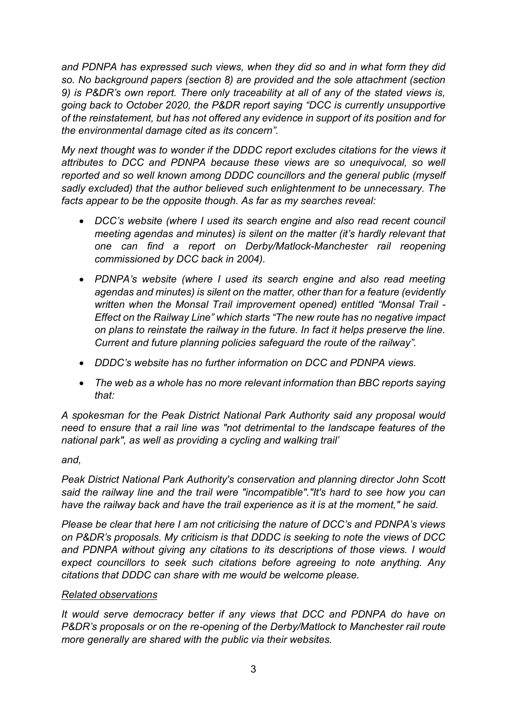*and PDNPA has expressed such views, when they did so and in what form they did so. No background papers (section 8) are provided and the sole attachment (section 9) is P&DR's own report. There only traceability at all of any of the stated views is, going back to October 2020, the P&DR report saying "DCC is currently unsupportive of the reinstatement, but has not offered any evidence in support of its position and for the environmental damage cited as its concern".*

*My next thought was to wonder if the DDDC report excludes citations for the views it attributes to DCC and PDNPA because these views are so unequivocal, so well reported and so well known among DDDC councillors and the general public (myself sadly excluded) that the author believed such enlightenment to be unnecessary. The facts appear to be the opposite though. As far as my searches reveal:*

- *DCC's website (where I used its search engine and also read recent council meeting agendas and minutes) is silent on the matter (it's hardly relevant that one can find a report on Derby/Matlock-Manchester rail reopening commissioned by DCC back in 2004).*
- *PDNPA's website (where I used its search engine and also read meeting agendas and minutes) is silent on the matter, other than for a feature (evidently written when the Monsal Trail improvement opened) entitled "Monsal Trail - Effect on the Railway Line" which starts "The new route has no negative impact on plans to reinstate the railway in the future. In fact it helps preserve the line. Current and future planning policies safeguard the route of the railway".*
- *DDDC's website has no further information on DCC and PDNPA views.*
- *The web as a whole has no more relevant information than BBC reports saying that:*

*A spokesman for the Peak District National Park Authority said any proposal would need to ensure that a rail line was "not detrimental to the landscape features of the national park", as well as providing a cycling and walking trail'*

# *and,*

*Peak District National Park Authority's conservation and planning director John Scott said the railway line and the trail were "incompatible"."It's hard to see how you can have the railway back and have the trail experience as it is at the moment," he said.*

*Please be clear that here I am not criticising the nature of DCC's and PDNPA's views on P&DR's proposals. My criticism is that DDDC is seeking to note the views of DCC and PDNPA without giving any citations to its descriptions of those views. I would expect councillors to seek such citations before agreeing to note anything. Any citations that DDDC can share with me would be welcome please.*

#### *Related observations*

*It would serve democracy better if any views that DCC and PDNPA do have on P&DR's proposals or on the re-opening of the Derby/Matlock to Manchester rail route more generally are shared with the public via their websites.*